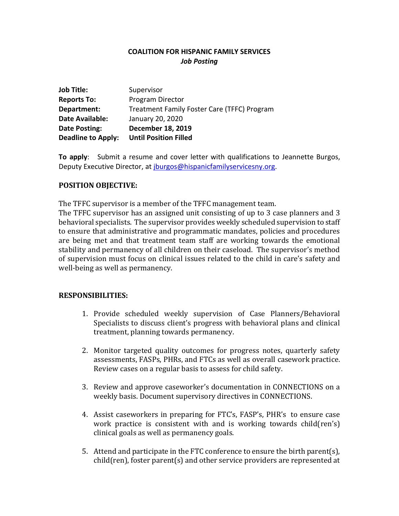# **COALITION FOR HISPANIC FAMILY SERVICES** *Job Posting*

| <b>Job Title:</b>         | Supervisor                                  |
|---------------------------|---------------------------------------------|
| <b>Reports To:</b>        | Program Director                            |
| Department:               | Treatment Family Foster Care (TFFC) Program |
| <b>Date Available:</b>    | January 20, 2020                            |
| Date Posting:             | <b>December 18, 2019</b>                    |
| <b>Deadline to Apply:</b> | <b>Until Position Filled</b>                |

**To apply**: Submit a resume and cover letter with qualifications to Jeannette Burgos, Deputy Executive Director, at [jburgos@hispanicfamilyservicesny.org.](mailto:jburgos@hispanicfamilyservicesny.org)

### **POSITION OBJECTIVE:**

The TFFC supervisor is a member of the TFFC management team.

The TFFC supervisor has an assigned unit consisting of up to 3 case planners and 3 behavioral specialists. The supervisor provides weekly scheduled supervision to staff to ensure that administrative and programmatic mandates, policies and procedures are being met and that treatment team staff are working towards the emotional stability and permanency of all children on their caseload. The supervisor's method of supervision must focus on clinical issues related to the child in care's safety and well-being as well as permanency.

#### **RESPONSIBILITIES:**

- 1. Provide scheduled weekly supervision of Case Planners/Behavioral Specialists to discuss client's progress with behavioral plans and clinical treatment, planning towards permanency.
- 2. Monitor targeted quality outcomes for progress notes, quarterly safety assessments, FASPs, PHRs, and FTCs as well as overall casework practice. Review cases on a regular basis to assess for child safety.
- 3. Review and approve caseworker's documentation in CONNECTIONS on a weekly basis. Document supervisory directives in CONNECTIONS.
- 4. Assist caseworkers in preparing for FTC's, FASP's, PHR's to ensure case work practice is consistent with and is working towards child(ren's) clinical goals as well as permanency goals.
- 5. Attend and participate in the FTC conference to ensure the birth parent(s), child(ren), foster parent(s) and other service providers are represented at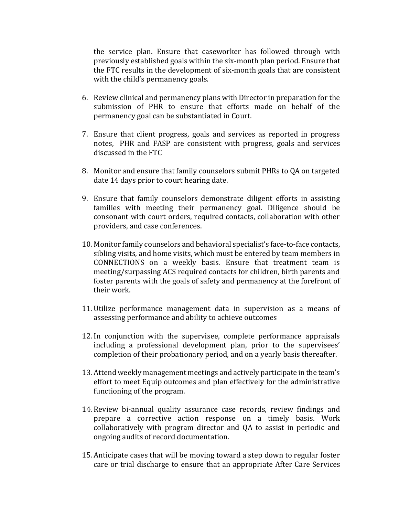the service plan. Ensure that caseworker has followed through with previously established goals within the six-month plan period. Ensure that the FTC results in the development of six-month goals that are consistent with the child's permanency goals.

- 6. Review clinical and permanency plans with Director in preparation for the submission of PHR to ensure that efforts made on behalf of the permanency goal can be substantiated in Court.
- 7. Ensure that client progress, goals and services as reported in progress notes, PHR and FASP are consistent with progress, goals and services discussed in the FTC
- 8. Monitor and ensure that family counselors submit PHRs to QA on targeted date 14 days prior to court hearing date.
- 9. Ensure that family counselors demonstrate diligent efforts in assisting families with meeting their permanency goal. Diligence should be consonant with court orders, required contacts, collaboration with other providers, and case conferences.
- 10. Monitor family counselors and behavioral specialist's face-to-face contacts, sibling visits, and home visits, which must be entered by team members in CONNECTIONS on a weekly basis. Ensure that treatment team is meeting/surpassing ACS required contacts for children, birth parents and foster parents with the goals of safety and permanency at the forefront of their work.
- 11. Utilize performance management data in supervision as a means of assessing performance and ability to achieve outcomes
- 12. In conjunction with the supervisee, complete performance appraisals including a professional development plan, prior to the supervisees' completion of their probationary period, and on a yearly basis thereafter.
- 13. Attend weekly management meetings and actively participate in the team's effort to meet Equip outcomes and plan effectively for the administrative functioning of the program.
- 14. Review bi-annual quality assurance case records, review findings and prepare a corrective action response on a timely basis. Work collaboratively with program director and QA to assist in periodic and ongoing audits of record documentation.
- 15. Anticipate cases that will be moving toward a step down to regular foster care or trial discharge to ensure that an appropriate After Care Services